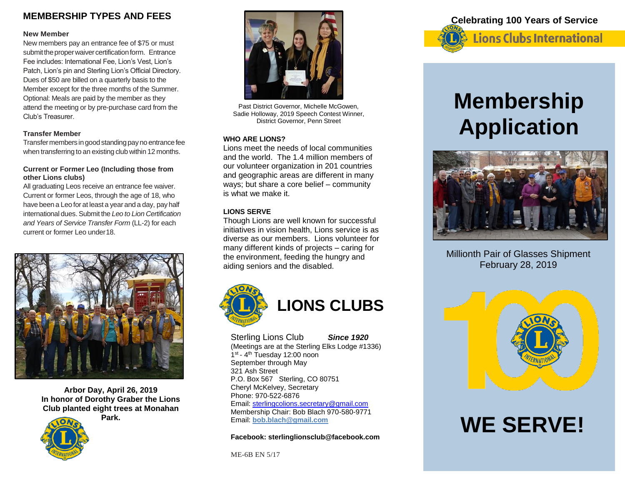### **MEMBERSHIP TYPES AND FEES**

#### **New Member**

New members pay an entrance fee of \$75 or must submit the proper waiver certification form. Entrance Fee includes: International Fee, Lion's Vest, Lion's Patch, Lion's pin and Sterling Lion's Official Directory. Dues of \$50 are billed on a quarterly basis to the Member except for the three months of the Summer. Optional: Meals are paid by the member as they attend the meeting or by pre-purchase card from the Club's Treasurer.

#### **Transfer Member**

Transfer members in good standing pay no entrance fee when transferring to an existing club within 12 months.

#### **Current or Former Leo (Including those from other Lions clubs)**

All graduating Leos receive an entrance fee waiver. Current or former Leos, through the age of 18, who have been a Leo for at least a year and a day, pay half international dues. Submit the *Leo to Lion Certification and Years of Service Transfer Form* (LL-2) for each current or former Leo under18.



**Arbor Day, April 26, 2019 In honor of Dorothy Graber the Lions Club planted eight trees at Monahan Park.**





Past District Governor, Michelle McGowen, Sadie Holloway, 2019 Speech Contest Winner, District Governor, Penn Street

#### **WHO ARE LIONS?**

Lions meet the needs of local communities and the world. The 1.4 million members of our volunteer organization in 201 countries and geographic areas are different in many ways; but share a core belief – community is what we make it.

#### **LIONS SERVE**

Though Lions are well known for successful initiatives in vision health, Lions service is as diverse as our members. Lions volunteer for many different kinds of projects – caring for the environment, feeding the hungry and aiding seniors and the disabled.



Sterling Lions Club *Since 1920* (Meetings are at the Sterling Elks Lodge #1336) 1<sup>st</sup> - 4<sup>th</sup> Tuesday 12:00 noon September through May 321 Ash Street P.O. Box 567 Sterling, CO 80751 Cheryl McKelvey, Secretary Phone: 970-522-6876 Email: [sterlingcolions.secretary@gmail.com](mailto:sterlingcolions.secretary@gmail.com) Membership Chair: Bob Blach 970-580-9771 Email: **bob.blach@gmail.com**

**Facebook: sterlinglionsclub@facebook.com**

ME-6B EN 5/17



# **Membership Application**



Millionth Pair of Glasses Shipment February 28, 2019



# **WE SERVE!**